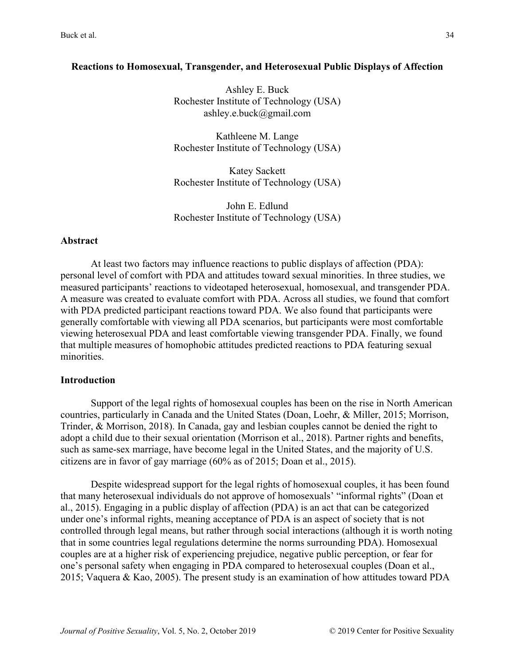### **Reactions to Homosexual, Transgender, and Heterosexual Public Displays of Affection**

Ashley E. Buck Rochester Institute of Technology (USA) ashley.e.buck@gmail.com

Kathleene M. Lange Rochester Institute of Technology (USA)

Katey Sackett Rochester Institute of Technology (USA)

John E. Edlund Rochester Institute of Technology (USA)

#### **Abstract**

At least two factors may influence reactions to public displays of affection (PDA): personal level of comfort with PDA and attitudes toward sexual minorities. In three studies, we measured participants' reactions to videotaped heterosexual, homosexual, and transgender PDA. A measure was created to evaluate comfort with PDA. Across all studies, we found that comfort with PDA predicted participant reactions toward PDA. We also found that participants were generally comfortable with viewing all PDA scenarios, but participants were most comfortable viewing heterosexual PDA and least comfortable viewing transgender PDA. Finally, we found that multiple measures of homophobic attitudes predicted reactions to PDA featuring sexual minorities.

#### **Introduction**

Support of the legal rights of homosexual couples has been on the rise in North American countries, particularly in Canada and the United States (Doan, Loehr, & Miller, 2015; Morrison, Trinder, & Morrison, 2018). In Canada, gay and lesbian couples cannot be denied the right to adopt a child due to their sexual orientation (Morrison et al., 2018). Partner rights and benefits, such as same-sex marriage, have become legal in the United States, and the majority of U.S. citizens are in favor of gay marriage (60% as of 2015; Doan et al., 2015).

Despite widespread support for the legal rights of homosexual couples, it has been found that many heterosexual individuals do not approve of homosexuals' "informal rights" (Doan et al., 2015). Engaging in a public display of affection (PDA) is an act that can be categorized under one's informal rights, meaning acceptance of PDA is an aspect of society that is not controlled through legal means, but rather through social interactions (although it is worth noting that in some countries legal regulations determine the norms surrounding PDA). Homosexual couples are at a higher risk of experiencing prejudice, negative public perception, or fear for one's personal safety when engaging in PDA compared to heterosexual couples (Doan et al., 2015; Vaquera & Kao, 2005). The present study is an examination of how attitudes toward PDA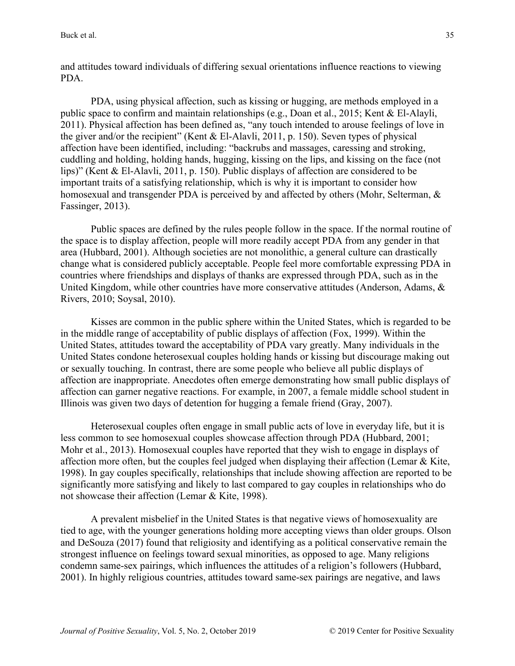and attitudes toward individuals of differing sexual orientations influence reactions to viewing PDA.

PDA, using physical affection, such as kissing or hugging, are methods employed in a public space to confirm and maintain relationships (e.g., Doan et al., 2015; Kent & El-Alayli, 2011). Physical affection has been defined as, "any touch intended to arouse feelings of love in the giver and/or the recipient" (Kent & El-Alavli, 2011, p. 150). Seven types of physical affection have been identified, including: "backrubs and massages, caressing and stroking, cuddling and holding, holding hands, hugging, kissing on the lips, and kissing on the face (not lips)" (Kent & El-Alavli, 2011, p. 150). Public displays of affection are considered to be important traits of a satisfying relationship, which is why it is important to consider how homosexual and transgender PDA is perceived by and affected by others (Mohr, Selterman, & Fassinger, 2013).

Public spaces are defined by the rules people follow in the space. If the normal routine of the space is to display affection, people will more readily accept PDA from any gender in that area (Hubbard, 2001). Although societies are not monolithic, a general culture can drastically change what is considered publicly acceptable. People feel more comfortable expressing PDA in countries where friendships and displays of thanks are expressed through PDA, such as in the United Kingdom, while other countries have more conservative attitudes (Anderson, Adams, & Rivers, 2010; Soysal, 2010).

Kisses are common in the public sphere within the United States, which is regarded to be in the middle range of acceptability of public displays of affection (Fox, 1999). Within the United States, attitudes toward the acceptability of PDA vary greatly. Many individuals in the United States condone heterosexual couples holding hands or kissing but discourage making out or sexually touching. In contrast, there are some people who believe all public displays of affection are inappropriate. Anecdotes often emerge demonstrating how small public displays of affection can garner negative reactions. For example, in 2007, a female middle school student in Illinois was given two days of detention for hugging a female friend (Gray, 2007).

Heterosexual couples often engage in small public acts of love in everyday life, but it is less common to see homosexual couples showcase affection through PDA (Hubbard, 2001; Mohr et al., 2013). Homosexual couples have reported that they wish to engage in displays of affection more often, but the couples feel judged when displaying their affection (Lemar & Kite, 1998). In gay couples specifically, relationships that include showing affection are reported to be significantly more satisfying and likely to last compared to gay couples in relationships who do not showcase their affection (Lemar & Kite, 1998).

A prevalent misbelief in the United States is that negative views of homosexuality are tied to age, with the younger generations holding more accepting views than older groups. Olson and DeSouza (2017) found that religiosity and identifying as a political conservative remain the strongest influence on feelings toward sexual minorities, as opposed to age. Many religions condemn same-sex pairings, which influences the attitudes of a religion's followers (Hubbard, 2001). In highly religious countries, attitudes toward same-sex pairings are negative, and laws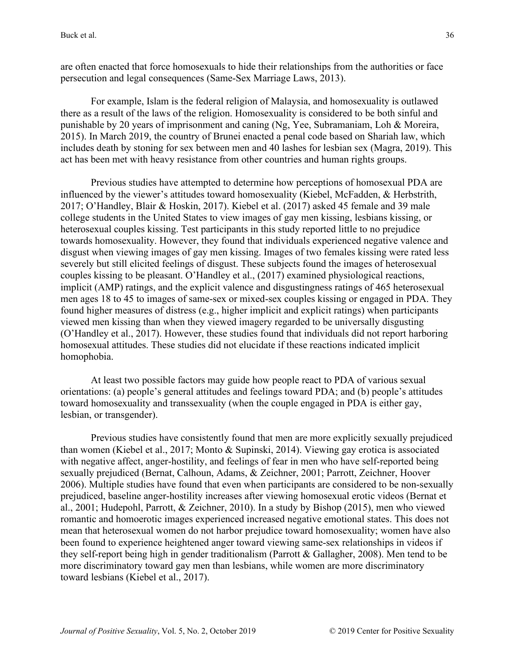are often enacted that force homosexuals to hide their relationships from the authorities or face persecution and legal consequences (Same-Sex Marriage Laws, 2013).

For example, Islam is the federal religion of Malaysia, and homosexuality is outlawed there as a result of the laws of the religion. Homosexuality is considered to be both sinful and punishable by 20 years of imprisonment and caning (Ng, Yee, Subramaniam, Loh & Moreira, 2015). In March 2019, the country of Brunei enacted a penal code based on Shariah law, which includes death by stoning for sex between men and 40 lashes for lesbian sex (Magra, 2019). This act has been met with heavy resistance from other countries and human rights groups.

Previous studies have attempted to determine how perceptions of homosexual PDA are influenced by the viewer's attitudes toward homosexuality (Kiebel, McFadden, & Herbstrith, 2017; O'Handley, Blair & Hoskin, 2017). Kiebel et al. (2017) asked 45 female and 39 male college students in the United States to view images of gay men kissing, lesbians kissing, or heterosexual couples kissing. Test participants in this study reported little to no prejudice towards homosexuality. However, they found that individuals experienced negative valence and disgust when viewing images of gay men kissing. Images of two females kissing were rated less severely but still elicited feelings of disgust. These subjects found the images of heterosexual couples kissing to be pleasant. O'Handley et al., (2017) examined physiological reactions, implicit (AMP) ratings, and the explicit valence and disgustingness ratings of 465 heterosexual men ages 18 to 45 to images of same-sex or mixed-sex couples kissing or engaged in PDA. They found higher measures of distress (e.g., higher implicit and explicit ratings) when participants viewed men kissing than when they viewed imagery regarded to be universally disgusting (O'Handley et al., 2017). However, these studies found that individuals did not report harboring homosexual attitudes. These studies did not elucidate if these reactions indicated implicit homophobia.

At least two possible factors may guide how people react to PDA of various sexual orientations: (a) people's general attitudes and feelings toward PDA; and (b) people's attitudes toward homosexuality and transsexuality (when the couple engaged in PDA is either gay, lesbian, or transgender).

Previous studies have consistently found that men are more explicitly sexually prejudiced than women (Kiebel et al., 2017; Monto & Supinski, 2014). Viewing gay erotica is associated with negative affect, anger-hostility, and feelings of fear in men who have self-reported being sexually prejudiced (Bernat, Calhoun, Adams, & Zeichner, 2001; Parrott, Zeichner, Hoover 2006). Multiple studies have found that even when participants are considered to be non-sexually prejudiced, baseline anger-hostility increases after viewing homosexual erotic videos (Bernat et al., 2001; Hudepohl, Parrott, & Zeichner, 2010). In a study by Bishop (2015), men who viewed romantic and homoerotic images experienced increased negative emotional states. This does not mean that heterosexual women do not harbor prejudice toward homosexuality; women have also been found to experience heightened anger toward viewing same-sex relationships in videos if they self-report being high in gender traditionalism (Parrott & Gallagher, 2008). Men tend to be more discriminatory toward gay men than lesbians, while women are more discriminatory toward lesbians (Kiebel et al., 2017).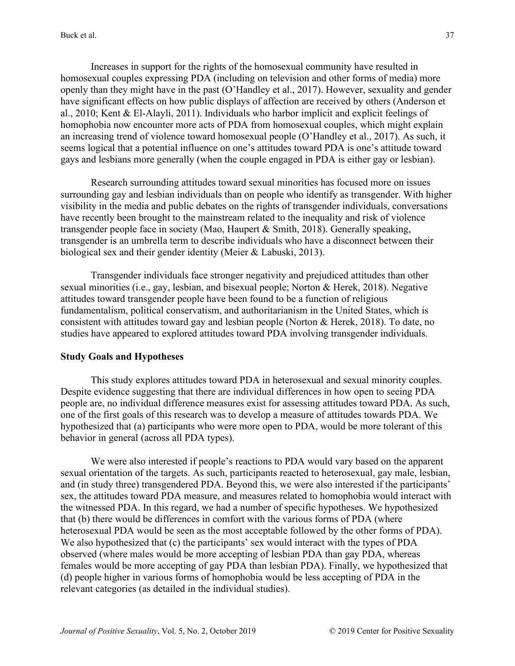Increases in support for the rights of the homosexual community have resulted in homosexual couples expressing PDA (including on television and other forms of media) more openly than they might have in the past (O'Handley et al., 2017). However, sexuality and gender have significant effects on how public displays of affection are received by others (Anderson et al., 2010; Kent & El-Alayli, 2011). Individuals who harbor implicit and explicit feelings of homophobia now encounter more acts of PDA from homosexual couples, which might explain an increasing trend of violence toward homosexual people (O'Handley et al., 2017). As such, it seems logical that a potential influence on one's attitudes toward PDA is one's attitude toward gays and lesbians more generally (when the couple engaged in PDA is either gay or lesbian).

Research surrounding attitudes toward sexual minorities has focused more on issues surrounding gay and lesbian individuals than on people who identify as transgender. With higher visibility in the media and public debates on the rights of transgender individuals, conversations have recently been brought to the mainstream related to the inequality and risk of violence transgender people face in society (Mao, Haupert & Smith, 2018). Generally speaking, transgender is an umbrella term to describe individuals who have a disconnect between their biological sex and their gender identity (Meier & Labuski, 2013).

Transgender individuals face stronger negativity and prejudiced attitudes than other sexual minorities (i.e., gay, lesbian, and bisexual people; Norton & Herek, 2018). Negative attitudes toward transgender people have been found to be a function of religious fundamentalism, political conservatism, and authoritarianism in the United States, which is consistent with attitudes toward gay and lesbian people (Norton & Herek, 2018). To date, no studies have appeared to explored attitudes toward PDA involving transgender individuals.

## **Study Goals and Hypotheses**

This study explores attitudes toward PDA in heterosexual and sexual minority couples. Despite evidence suggesting that there are individual differences in how open to seeing PDA people are, no individual difference measures exist for assessing attitudes toward PDA. As such, one of the first goals of this research was to develop a measure of attitudes towards PDA. We hypothesized that (a) participants who were more open to PDA, would be more tolerant of this behavior in general (across all PDA types).

We were also interested if people's reactions to PDA would vary based on the apparent sexual orientation of the targets. As such, participants reacted to heterosexual, gay male, lesbian, and (in study three) transgendered PDA. Beyond this, we were also interested if the participants' sex, the attitudes toward PDA measure, and measures related to homophobia would interact with the witnessed PDA. In this regard, we had a number of specific hypotheses. We hypothesized that (b) there would be differences in comfort with the various forms of PDA (where heterosexual PDA would be seen as the most acceptable followed by the other forms of PDA). We also hypothesized that (c) the participants' sex would interact with the types of PDA observed (where males would be more accepting of lesbian PDA than gay PDA, whereas females would be more accepting of gay PDA than lesbian PDA). Finally, we hypothesized that (d) people higher in various forms of homophobia would be less accepting of PDA in the relevant categories (as detailed in the individual studies).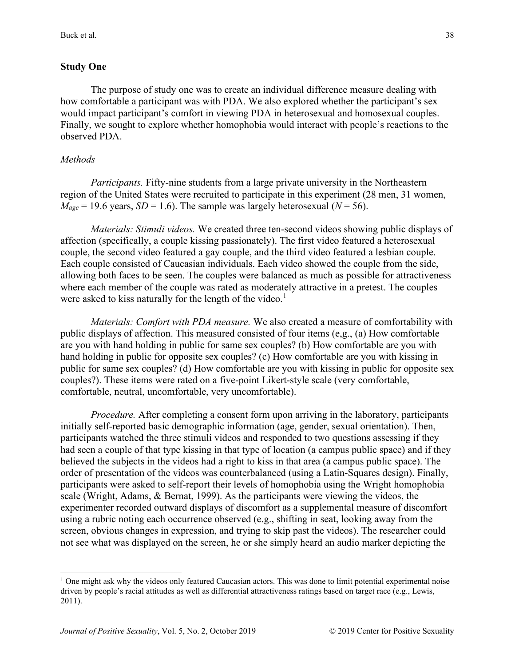# **Study One**

The purpose of study one was to create an individual difference measure dealing with how comfortable a participant was with PDA. We also explored whether the participant's sex would impact participant's comfort in viewing PDA in heterosexual and homosexual couples. Finally, we sought to explore whether homophobia would interact with people's reactions to the observed PDA.

## *Methods*

*Participants.* Fifty-nine students from a large private university in the Northeastern region of the United States were recruited to participate in this experiment (28 men, 31 women,  $M_{\text{age}} = 19.6$  years, *SD* = 1.6). The sample was largely heterosexual (*N* = 56).

*Materials: Stimuli videos.* We created three ten-second videos showing public displays of affection (specifically, a couple kissing passionately). The first video featured a heterosexual couple, the second video featured a gay couple, and the third video featured a lesbian couple. Each couple consisted of Caucasian individuals. Each video showed the couple from the side, allowing both faces to be seen. The couples were balanced as much as possible for attractiveness where each member of the couple was rated as moderately attractive in a pretest. The couples were asked to kiss naturally for the length of the video.<sup>[1](#page-4-0)</sup>

*Materials: Comfort with PDA measure.* We also created a measure of comfortability with public displays of affection. This measured consisted of four items (e,g., (a) How comfortable are you with hand holding in public for same sex couples? (b) How comfortable are you with hand holding in public for opposite sex couples? (c) How comfortable are you with kissing in public for same sex couples? (d) How comfortable are you with kissing in public for opposite sex couples?). These items were rated on a five-point Likert-style scale (very comfortable, comfortable, neutral, uncomfortable, very uncomfortable).

*Procedure.* After completing a consent form upon arriving in the laboratory, participants initially self-reported basic demographic information (age, gender, sexual orientation). Then, participants watched the three stimuli videos and responded to two questions assessing if they had seen a couple of that type kissing in that type of location (a campus public space) and if they believed the subjects in the videos had a right to kiss in that area (a campus public space). The order of presentation of the videos was counterbalanced (using a Latin-Squares design). Finally, participants were asked to self-report their levels of homophobia using the Wright homophobia scale (Wright, Adams, & Bernat, 1999). As the participants were viewing the videos, the experimenter recorded outward displays of discomfort as a supplemental measure of discomfort using a rubric noting each occurrence observed (e.g., shifting in seat, looking away from the screen, obvious changes in expression, and trying to skip past the videos). The researcher could not see what was displayed on the screen, he or she simply heard an audio marker depicting the

<span id="page-4-0"></span> $1$  One might ask why the videos only featured Caucasian actors. This was done to limit potential experimental noise driven by people's racial attitudes as well as differential attractiveness ratings based on target race (e.g., Lewis, 2011).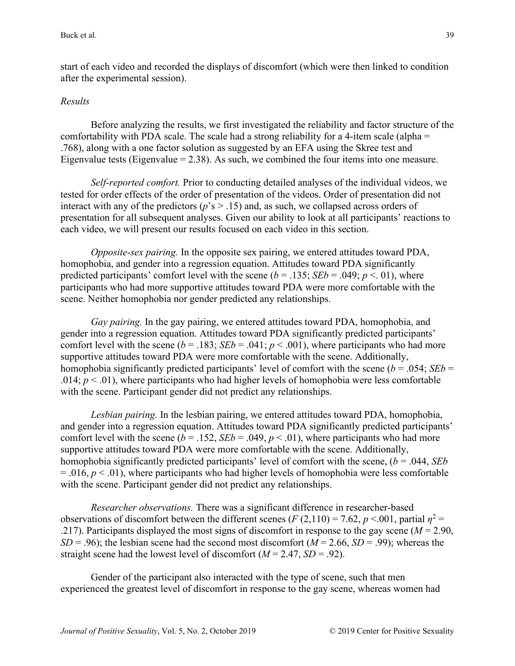start of each video and recorded the displays of discomfort (which were then linked to condition after the experimental session).

### *Results*

Before analyzing the results, we first investigated the reliability and factor structure of the comfortability with PDA scale. The scale had a strong reliability for a 4-item scale (alpha  $=$ .768), along with a one factor solution as suggested by an EFA using the Skree test and Eigenvalue tests (Eigenvalue  $= 2.38$ ). As such, we combined the four items into one measure.

*Self-reported comfort.* Prior to conducting detailed analyses of the individual videos, we tested for order effects of the order of presentation of the videos. Order of presentation did not interact with any of the predictors ( $p$ 's > .15) and, as such, we collapsed across orders of presentation for all subsequent analyses. Given our ability to look at all participants' reactions to each video, we will present our results focused on each video in this section.

*Opposite-sex pairing.* In the opposite sex pairing, we entered attitudes toward PDA, homophobia, and gender into a regression equation. Attitudes toward PDA significantly predicted participants' comfort level with the scene ( $b = .135$ ; *SEb* = .049;  $p < .01$ ), where participants who had more supportive attitudes toward PDA were more comfortable with the scene. Neither homophobia nor gender predicted any relationships.

*Gay pairing.* In the gay pairing, we entered attitudes toward PDA, homophobia, and gender into a regression equation. Attitudes toward PDA significantly predicted participants' comfort level with the scene ( $b = .183$ ; *SEb* = .041;  $p < .001$ ), where participants who had more supportive attitudes toward PDA were more comfortable with the scene. Additionally, homophobia significantly predicted participants' level of comfort with the scene ( $b = .054$ ; *SEb* = .014;  $p < 0.01$ ), where participants who had higher levels of homophobia were less comfortable with the scene. Participant gender did not predict any relationships.

*Lesbian pairing.* In the lesbian pairing, we entered attitudes toward PDA, homophobia, and gender into a regression equation. Attitudes toward PDA significantly predicted participants' comfort level with the scene ( $b = .152$ ,  $SEb = .049$ ,  $p < .01$ ), where participants who had more supportive attitudes toward PDA were more comfortable with the scene. Additionally, homophobia significantly predicted participants' level of comfort with the scene, (*b* = .044, *SEb*  $= .016$ ,  $p < .01$ ), where participants who had higher levels of homophobia were less comfortable with the scene. Participant gender did not predict any relationships.

*Researcher observations.* There was a significant difference in researcher-based observations of discomfort between the different scenes ( $F(2,110) = 7.62$ ,  $p \le 0.001$ , partial  $n^2 =$ .217). Participants displayed the most signs of discomfort in response to the gay scene (*M* = 2.90, *SD* = .96); the lesbian scene had the second most discomfort ( $M = 2.66$ ,  $SD = .99$ ); whereas the straight scene had the lowest level of discomfort  $(M = 2.47, SD = .92)$ .

Gender of the participant also interacted with the type of scene, such that men experienced the greatest level of discomfort in response to the gay scene, whereas women had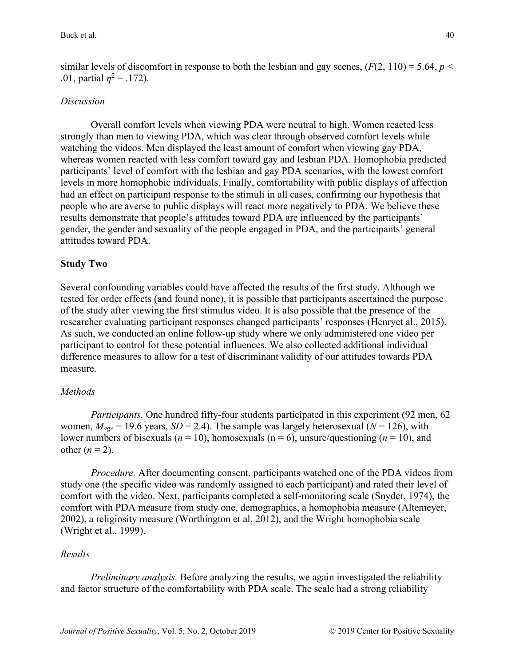similar levels of discomfort in response to both the lesbian and gay scenes,  $(F(2, 110) = 5.64, p <$ .01, partial  $\eta^2 = .172$ ).

## *Discussion*

Overall comfort levels when viewing PDA were neutral to high. Women reacted less strongly than men to viewing PDA, which was clear through observed comfort levels while watching the videos. Men displayed the least amount of comfort when viewing gay PDA, whereas women reacted with less comfort toward gay and lesbian PDA. Homophobia predicted participants' level of comfort with the lesbian and gay PDA scenarios, with the lowest comfort levels in more homophobic individuals. Finally, comfortability with public displays of affection had an effect on participant response to the stimuli in all cases, confirming our hypothesis that people who are averse to public displays will react more negatively to PDA. We believe these results demonstrate that people's attitudes toward PDA are influenced by the participants' gender, the gender and sexuality of the people engaged in PDA, and the participants' general attitudes toward PDA.

### **Study Two**

Several confounding variables could have affected the results of the first study. Although we tested for order effects (and found none), it is possible that participants ascertained the purpose of the study after viewing the first stimulus video. It is also possible that the presence of the researcher evaluating participant responses changed participants' responses (Henryet al., 2015). As such, we conducted an online follow-up study where we only administered one video per participant to control for these potential influences. We also collected additional individual difference measures to allow for a test of discriminant validity of our attitudes towards PDA measure.

#### *Methods*

*Participants.* One hundred fifty-four students participated in this experiment (92 men, 62 women,  $M_{\text{age}} = 19.6$  years,  $SD = 2.4$ ). The sample was largely heterosexual ( $N = 126$ ), with lower numbers of bisexuals ( $n = 10$ ), homosexuals ( $n = 6$ ), unsure/questioning ( $n = 10$ ), and other  $(n = 2)$ .

*Procedure.* After documenting consent, participants watched one of the PDA videos from study one (the specific video was randomly assigned to each participant) and rated their level of comfort with the video. Next, participants completed a self-monitoring scale (Snyder, 1974), the comfort with PDA measure from study one, demographics, a homophobia measure (Altemeyer, 2002), a religiosity measure (Worthington et al, 2012), and the Wright homophobia scale (Wright et al., 1999).

#### *Results*

*Preliminary analysis.* Before analyzing the results, we again investigated the reliability and factor structure of the comfortability with PDA scale. The scale had a strong reliability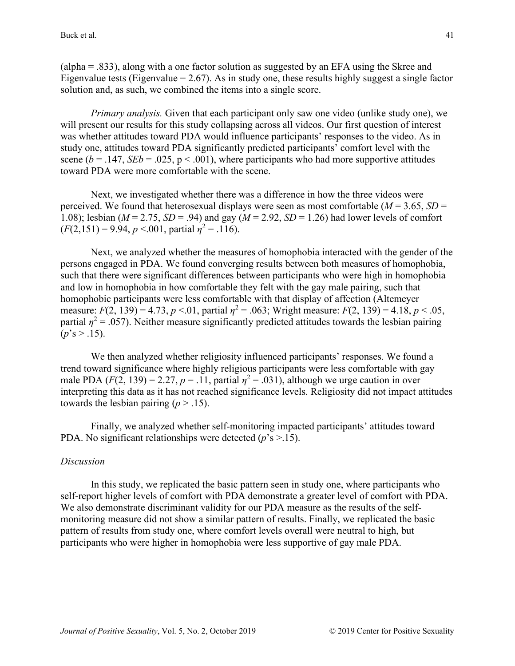(alpha = .833), along with a one factor solution as suggested by an EFA using the Skree and Eigenvalue tests (Eigenvalue  $= 2.67$ ). As in study one, these results highly suggest a single factor solution and, as such, we combined the items into a single score.

*Primary analysis.* Given that each participant only saw one video (unlike study one), we will present our results for this study collapsing across all videos. Our first question of interest was whether attitudes toward PDA would influence participants' responses to the video. As in study one, attitudes toward PDA significantly predicted participants' comfort level with the scene ( $b = .147$ , *SEb* = .025, p < .001), where participants who had more supportive attitudes toward PDA were more comfortable with the scene.

Next, we investigated whether there was a difference in how the three videos were perceived. We found that heterosexual displays were seen as most comfortable ( $M = 3.65$ ,  $SD =$ 1.08); lesbian ( $M = 2.75$ ,  $SD = .94$ ) and gay ( $M = 2.92$ ,  $SD = 1.26$ ) had lower levels of comfort  $(F(2.151) = 9.94, p < .001$ , partial  $n^2 = .116$ ).

Next, we analyzed whether the measures of homophobia interacted with the gender of the persons engaged in PDA. We found converging results between both measures of homophobia, such that there were significant differences between participants who were high in homophobia and low in homophobia in how comfortable they felt with the gay male pairing, such that homophobic participants were less comfortable with that display of affection (Altemeyer measure:  $F(2, 139) = 4.73$ ,  $p < 01$ , partial  $n^2 = 0.063$ ; Wright measure:  $F(2, 139) = 4.18$ ,  $p < 0.05$ , partial  $\eta^2$  = .057). Neither measure significantly predicted attitudes towards the lesbian pairing  $(p's > .15)$ .

We then analyzed whether religiosity influenced participants' responses. We found a trend toward significance where highly religious participants were less comfortable with gay male PDA  $(F(2, 139) = 2.27, p = .11,$  partial  $\eta^2 = .031$ ), although we urge caution in over interpreting this data as it has not reached significance levels. Religiosity did not impact attitudes towards the lesbian pairing  $(p > .15)$ .

Finally, we analyzed whether self-monitoring impacted participants' attitudes toward PDA. No significant relationships were detected (*p*'s >.15).

## *Discussion*

In this study, we replicated the basic pattern seen in study one, where participants who self-report higher levels of comfort with PDA demonstrate a greater level of comfort with PDA. We also demonstrate discriminant validity for our PDA measure as the results of the selfmonitoring measure did not show a similar pattern of results. Finally, we replicated the basic pattern of results from study one, where comfort levels overall were neutral to high, but participants who were higher in homophobia were less supportive of gay male PDA.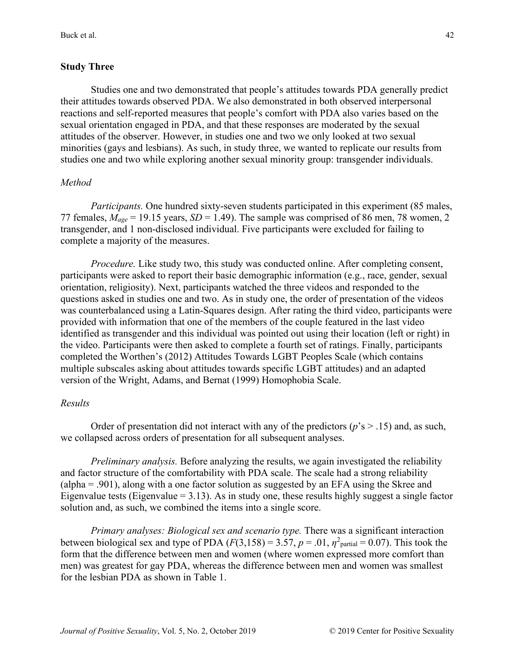# **Study Three**

Studies one and two demonstrated that people's attitudes towards PDA generally predict their attitudes towards observed PDA. We also demonstrated in both observed interpersonal reactions and self-reported measures that people's comfort with PDA also varies based on the sexual orientation engaged in PDA, and that these responses are moderated by the sexual attitudes of the observer. However, in studies one and two we only looked at two sexual minorities (gays and lesbians). As such, in study three, we wanted to replicate our results from studies one and two while exploring another sexual minority group: transgender individuals.

# *Method*

*Participants.* One hundred sixty-seven students participated in this experiment (85 males, 77 females,  $M_{\text{age}} = 19.15$  years,  $SD = 1.49$ ). The sample was comprised of 86 men, 78 women, 2 transgender, and 1 non-disclosed individual. Five participants were excluded for failing to complete a majority of the measures.

*Procedure.* Like study two, this study was conducted online. After completing consent, participants were asked to report their basic demographic information (e.g., race, gender, sexual orientation, religiosity). Next, participants watched the three videos and responded to the questions asked in studies one and two. As in study one, the order of presentation of the videos was counterbalanced using a Latin-Squares design. After rating the third video, participants were provided with information that one of the members of the couple featured in the last video identified as transgender and this individual was pointed out using their location (left or right) in the video. Participants were then asked to complete a fourth set of ratings. Finally, participants completed the Worthen's (2012) Attitudes Towards LGBT Peoples Scale (which contains multiple subscales asking about attitudes towards specific LGBT attitudes) and an adapted version of the Wright, Adams, and Bernat (1999) Homophobia Scale.

# *Results*

Order of presentation did not interact with any of the predictors  $(p's > .15)$  and, as such, we collapsed across orders of presentation for all subsequent analyses.

*Preliminary analysis.* Before analyzing the results, we again investigated the reliability and factor structure of the comfortability with PDA scale. The scale had a strong reliability (alpha = .901), along with a one factor solution as suggested by an EFA using the Skree and Eigenvalue tests (Eigenvalue  $= 3.13$ ). As in study one, these results highly suggest a single factor solution and, as such, we combined the items into a single score.

*Primary analyses: Biological sex and scenario type.* There was a significant interaction between biological sex and type of PDA  $(F(3,158) = 3.57, p = .01, \eta^2$ <sub>partial</sub> = 0.07). This took the form that the difference between men and women (where women expressed more comfort than men) was greatest for gay PDA, whereas the difference between men and women was smallest for the lesbian PDA as shown in Table 1.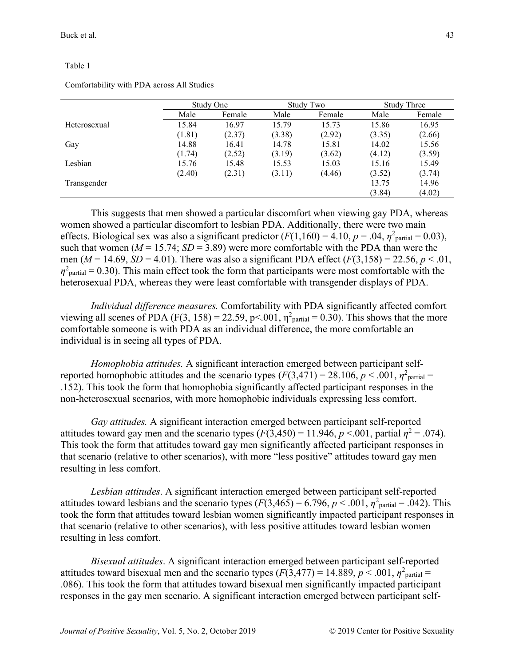#### Table 1

|              | Study One |        | Study Two |        | <b>Study Three</b> |        |
|--------------|-----------|--------|-----------|--------|--------------------|--------|
|              | Male      | Female | Male      | Female | Male               | Female |
| Heterosexual | 15.84     | 16.97  | 15.79     | 15.73  | 15.86              | 16.95  |
|              | (1.81)    | (2.37) | (3.38)    | (2.92) | (3.35)             | (2.66) |
| Gay          | 14.88     | 16.41  | 14.78     | 15.81  | 14.02              | 15.56  |
|              | (1.74)    | (2.52) | (3.19)    | (3.62) | (4.12)             | (3.59) |
| Lesbian      | 15.76     | 15.48  | 15.53     | 15.03  | 15.16              | 15.49  |
|              | (2.40)    | (2.31) | (3.11)    | (4.46) | (3.52)             | (3.74) |
| Transgender  |           |        |           |        | 13.75              | 14.96  |
|              |           |        |           |        | (3.84)             | (4.02) |

Comfortability with PDA across All Studies

This suggests that men showed a particular discomfort when viewing gay PDA, whereas women showed a particular discomfort to lesbian PDA. Additionally, there were two main effects. Biological sex was also a significant predictor  $(F(1,160) = 4.10, p = .04, \eta^2$ <sub>partial</sub> = 0.03), such that women ( $M = 15.74$ ;  $SD = 3.89$ ) were more comfortable with the PDA than were the men ( $M = 14.69$ ,  $SD = 4.01$ ). There was also a significant PDA effect ( $F(3,158) = 22.56$ ,  $p < .01$ ,  $\eta^2$ <sub>partial</sub> = 0.30). This main effect took the form that participants were most comfortable with the heterosexual PDA, whereas they were least comfortable with transgender displays of PDA.

*Individual difference measures.* Comfortability with PDA significantly affected comfort viewing all scenes of PDA (F(3, 158) = 22.59, p<.001,  $\eta^2$ <sub>partial</sub> = 0.30). This shows that the more comfortable someone is with PDA as an individual difference, the more comfortable an individual is in seeing all types of PDA.

*Homophobia attitudes.* A significant interaction emerged between participant selfreported homophobic attitudes and the scenario types  $(F(3,471) = 28.106, p < .001, \eta^2$ <sub>partial</sub> = .152). This took the form that homophobia significantly affected participant responses in the non-heterosexual scenarios, with more homophobic individuals expressing less comfort.

*Gay attitudes.* A significant interaction emerged between participant self-reported attitudes toward gay men and the scenario types  $(F(3,450) = 11.946, p \lt 0.001$ , partial  $\eta^2 = 0.074$ ). This took the form that attitudes toward gay men significantly affected participant responses in that scenario (relative to other scenarios), with more "less positive" attitudes toward gay men resulting in less comfort.

*Lesbian attitudes*. A significant interaction emerged between participant self-reported attitudes toward lesbians and the scenario types  $(F(3,465) = 6.796, p < .001, \eta^2$ <sub>partial</sub> = .042). This took the form that attitudes toward lesbian women significantly impacted participant responses in that scenario (relative to other scenarios), with less positive attitudes toward lesbian women resulting in less comfort.

*Bisexual attitudes*. A significant interaction emerged between participant self-reported attitudes toward bisexual men and the scenario types  $(F(3,477) = 14.889, p < .001, \eta^2$ <sub>partial</sub> = .086). This took the form that attitudes toward bisexual men significantly impacted participant responses in the gay men scenario. A significant interaction emerged between participant self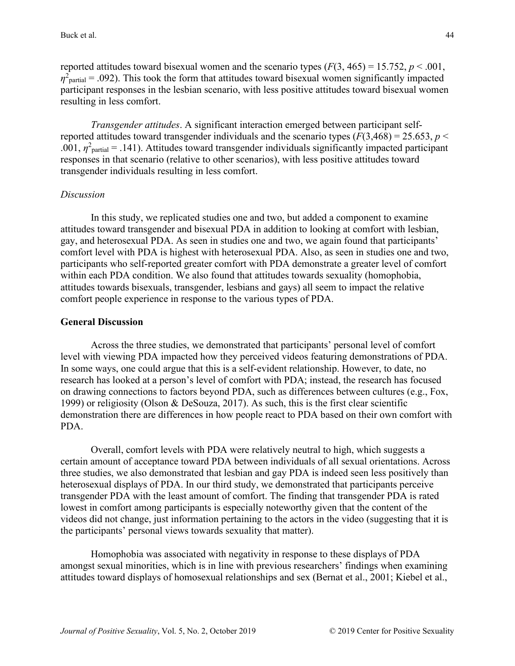reported attitudes toward bisexual women and the scenario types  $(F(3, 465) = 15.752, p < .001,$  $\eta^2$ <sub>partial</sub> = .092). This took the form that attitudes toward bisexual women significantly impacted participant responses in the lesbian scenario, with less positive attitudes toward bisexual women resulting in less comfort.

*Transgender attitudes*. A significant interaction emerged between participant selfreported attitudes toward transgender individuals and the scenario types  $(F(3,468) = 25.653, p <$ .001,  $\eta^2$ <sub>partial</sub> = .141). Attitudes toward transgender individuals significantly impacted participant responses in that scenario (relative to other scenarios), with less positive attitudes toward transgender individuals resulting in less comfort.

### *Discussion*

In this study, we replicated studies one and two, but added a component to examine attitudes toward transgender and bisexual PDA in addition to looking at comfort with lesbian, gay, and heterosexual PDA. As seen in studies one and two, we again found that participants' comfort level with PDA is highest with heterosexual PDA. Also, as seen in studies one and two, participants who self-reported greater comfort with PDA demonstrate a greater level of comfort within each PDA condition. We also found that attitudes towards sexuality (homophobia, attitudes towards bisexuals, transgender, lesbians and gays) all seem to impact the relative comfort people experience in response to the various types of PDA.

## **General Discussion**

Across the three studies, we demonstrated that participants' personal level of comfort level with viewing PDA impacted how they perceived videos featuring demonstrations of PDA. In some ways, one could argue that this is a self-evident relationship. However, to date, no research has looked at a person's level of comfort with PDA; instead, the research has focused on drawing connections to factors beyond PDA, such as differences between cultures (e.g., Fox, 1999) or religiosity (Olson & DeSouza, 2017). As such, this is the first clear scientific demonstration there are differences in how people react to PDA based on their own comfort with PDA.

Overall, comfort levels with PDA were relatively neutral to high, which suggests a certain amount of acceptance toward PDA between individuals of all sexual orientations. Across three studies, we also demonstrated that lesbian and gay PDA is indeed seen less positively than heterosexual displays of PDA. In our third study, we demonstrated that participants perceive transgender PDA with the least amount of comfort. The finding that transgender PDA is rated lowest in comfort among participants is especially noteworthy given that the content of the videos did not change, just information pertaining to the actors in the video (suggesting that it is the participants' personal views towards sexuality that matter).

Homophobia was associated with negativity in response to these displays of PDA amongst sexual minorities, which is in line with previous researchers' findings when examining attitudes toward displays of homosexual relationships and sex (Bernat et al., 2001; Kiebel et al.,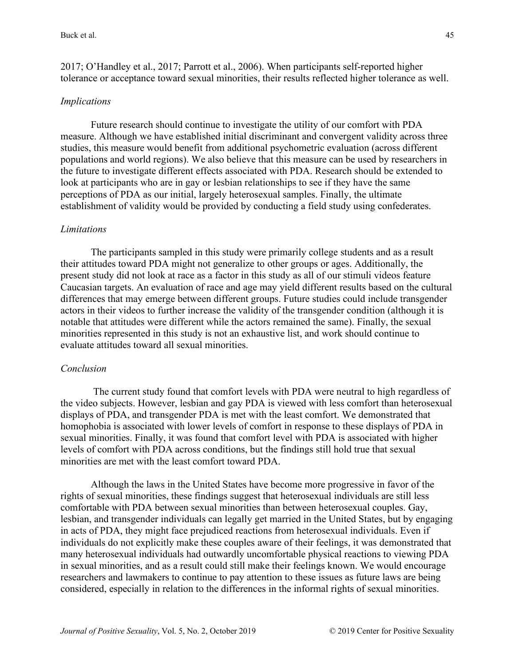2017; O'Handley et al., 2017; Parrott et al., 2006). When participants self-reported higher tolerance or acceptance toward sexual minorities, their results reflected higher tolerance as well.

### *Implications*

Future research should continue to investigate the utility of our comfort with PDA measure. Although we have established initial discriminant and convergent validity across three studies, this measure would benefit from additional psychometric evaluation (across different populations and world regions). We also believe that this measure can be used by researchers in the future to investigate different effects associated with PDA. Research should be extended to look at participants who are in gay or lesbian relationships to see if they have the same perceptions of PDA as our initial, largely heterosexual samples. Finally, the ultimate establishment of validity would be provided by conducting a field study using confederates.

#### *Limitations*

The participants sampled in this study were primarily college students and as a result their attitudes toward PDA might not generalize to other groups or ages. Additionally, the present study did not look at race as a factor in this study as all of our stimuli videos feature Caucasian targets. An evaluation of race and age may yield different results based on the cultural differences that may emerge between different groups. Future studies could include transgender actors in their videos to further increase the validity of the transgender condition (although it is notable that attitudes were different while the actors remained the same). Finally, the sexual minorities represented in this study is not an exhaustive list, and work should continue to evaluate attitudes toward all sexual minorities.

#### *Conclusion*

The current study found that comfort levels with PDA were neutral to high regardless of the video subjects. However, lesbian and gay PDA is viewed with less comfort than heterosexual displays of PDA, and transgender PDA is met with the least comfort. We demonstrated that homophobia is associated with lower levels of comfort in response to these displays of PDA in sexual minorities. Finally, it was found that comfort level with PDA is associated with higher levels of comfort with PDA across conditions, but the findings still hold true that sexual minorities are met with the least comfort toward PDA.

Although the laws in the United States have become more progressive in favor of the rights of sexual minorities, these findings suggest that heterosexual individuals are still less comfortable with PDA between sexual minorities than between heterosexual couples. Gay, lesbian, and transgender individuals can legally get married in the United States, but by engaging in acts of PDA, they might face prejudiced reactions from heterosexual individuals. Even if individuals do not explicitly make these couples aware of their feelings, it was demonstrated that many heterosexual individuals had outwardly uncomfortable physical reactions to viewing PDA in sexual minorities, and as a result could still make their feelings known. We would encourage researchers and lawmakers to continue to pay attention to these issues as future laws are being considered, especially in relation to the differences in the informal rights of sexual minorities.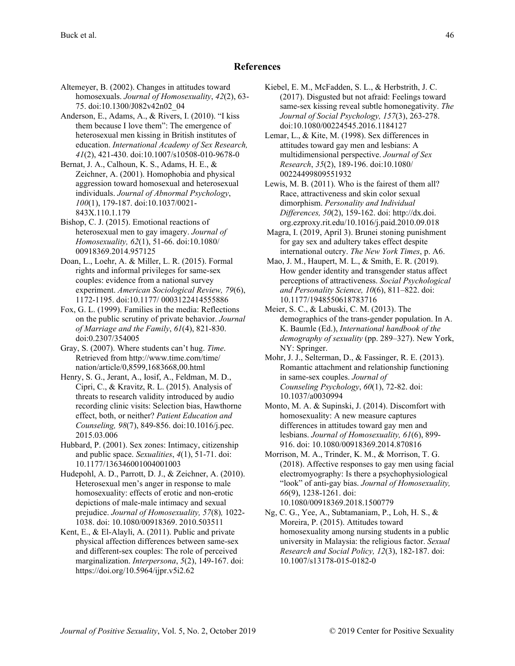#### **References**

Altemeyer, B. (2002). Changes in attitudes toward homosexuals. *Journal of Homosexuality*, *42*(2), 63- 75. doi:10.1300/J082v42n02\_04

Anderson, E., Adams, A., & Rivers, I. (2010). "I kiss them because I love them": The emergence of heterosexual men kissing in British institutes of education. *International Academy of Sex Research, 41*(2), 421-430. doi:10.1007/s10508-010-9678-0

Bernat, J. A., Calhoun, K. S., Adams, H. E., & Zeichner, A. (2001). Homophobia and physical aggression toward homosexual and heterosexual individuals. *Journal of Abnormal Psychology*, *100*(1), 179-187. doi:10.1037/0021- 843X.110.1.179

Bishop, C. J. (2015). Emotional reactions of heterosexual men to gay imagery. *Journal of Homosexuality, 62*(1), 51-66. doi:10.1080/ 00918369.2014.957125

Doan, L., Loehr, A. & Miller, L. R. (2015). Formal rights and informal privileges for same-sex couples: evidence from a national survey experiment. *American Sociological Review, 79*(6), 1172-1195. doi:10.1177/ 0003122414555886

Fox, G. L. (1999). Families in the media: Reflections on the public scrutiny of private behavior. *Journal of Marriage and the Family*, *61*(4), 821-830. doi:0.2307/354005

Gray, S. (2007). Where students can't hug. *Time*. Retrieved from http://www.time.com/time/ nation/article/0,8599,1683668,00.html

Henry, S. G., Jerant, A., Iosif, A., Feldman, M. D., Cipri, C., & Kravitz, R. L. (2015). Analysis of threats to research validity introduced by audio recording clinic visits: Selection bias, Hawthorne effect, both, or neither? *Patient Education and Counseling, 98*(7), 849-856. doi:10.1016/j.pec. 2015.03.006

Hubbard, P. (2001). Sex zones: Intimacy, citizenship and public space. *Sexualities*, *4*(1), 51-71. doi: 10.1177/136346001004001003

Hudepohl, A. D., Parrott, D. J., & Zeichner, A. (2010). Heterosexual men's anger in response to male homosexuality: effects of erotic and non-erotic depictions of male-male intimacy and sexual prejudice. *Journal of Homosexuality, 57*(8)*,* 1022- 1038. doi: 10.1080/00918369. 2010.503511

Kent, E., & El-Alayli, A. (2011). Public and private physical affection differences between same-sex and different-sex couples: The role of perceived marginalization. *Interpersona*, *5*(2), 149-167. doi: https://doi.org/10.5964/ijpr.v5i2.62

Kiebel, E. M., McFadden, S. L., & Herbstrith, J. C. (2017). Disgusted but not afraid: Feelings toward same-sex kissing reveal subtle homonegativity. *The Journal of Social Psychology, 157*(3), 263-278. doi:10.1080/00224545.2016.1184127

Lemar, L., & Kite, M. (1998). Sex differences in attitudes toward gay men and lesbians: A multidimensional perspective. *Journal of Sex Research*, *35*(2), 189-196. doi:10.1080/ 00224499809551932

Lewis, M. B. (2011). Who is the fairest of them all? Race, attractiveness and skin color sexual dimorphism. *Personality and Individual Differences, 50*(2), 159-162. doi: http://dx.doi. org.ezproxy.rit.edu/10.1016/j.paid.2010.09.018

Magra, I. (2019, April 3). Brunei stoning punishment for gay sex and adultery takes effect despite international outcry. *The New York Times*, p. A6.

Mao, J. M., Haupert, M. L., & Smith, E. R. (2019). How gender identity and transgender status affect perceptions of attractiveness. *Social Psychological and Personality Science, 10*(6), 811–822. doi: 10.1177/1948550618783716

Meier, S. C., & Labuski, C. M. (2013). The demographics of the trans-gender population. In A. K. Baumle (Ed.), *International handbook of the demography of sexuality* (pp. 289–327). New York, NY: Springer.

Mohr, J. J., Selterman, D., & Fassinger, R. E. (2013). Romantic attachment and relationship functioning in same-sex couples. *Journal of Counseling Psychology*, *60*(1), 72-82. doi: 10.1037/a0030994

Monto, M. A. & Supinski, J. (2014). Discomfort with homosexuality: A new measure captures differences in attitudes toward gay men and lesbians. *Journal of Homosexuality, 61*(6), 899- 916. doi: 10.1080/00918369.2014.870816

Morrison, M. A., Trinder, K. M., & Morrison, T. G. (2018). Affective responses to gay men using facial electromyography: Is there a psychophysiological "look" of anti-gay bias. *Journal of Homosexuality, 66*(9), 1238-1261. doi: 10.1080/00918369.2018.1500779

Ng, C. G., Yee, A., Subtamaniam, P., Loh, H. S., & Moreira, P. (2015). Attitudes toward homosexuality among nursing students in a public university in Malaysia: the religious factor. *Sexual Research and Social Policy, 12*(3), 182-187. doi: 10.1007/s13178-015-0182-0